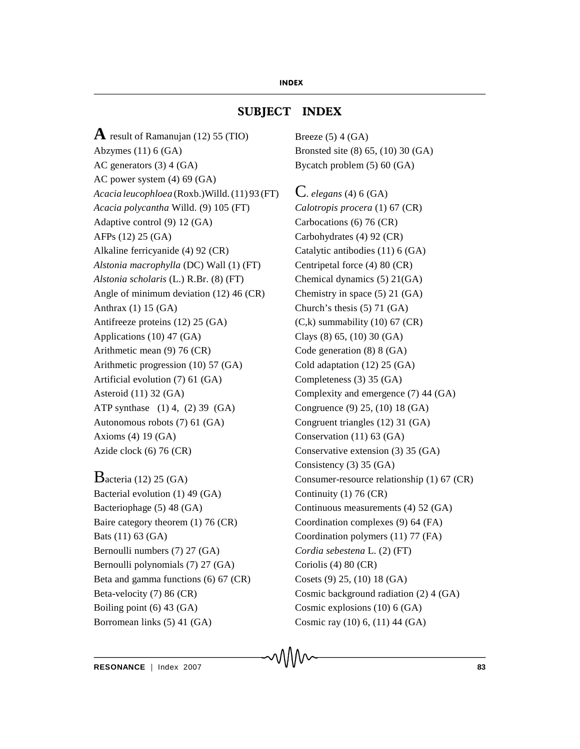## **SUBJECT INDEX**

**A** result of Ramanujan (12) 55 (TIO) Abzymes (11) 6 (GA) AC generators (3) 4 (GA) AC power system (4) 69 (GA) *Acacia leucophloea* (Roxb.)Willd. (11) 93 (FT) *Acacia polycantha* Willd. (9) 105 (FT) Adaptive control (9) 12 (GA) AFPs (12) 25 (GA) Alkaline ferricyanide (4) 92 (CR) *Alstonia macrophylla* (DC) Wall (1) (FT) *Alstonia scholaris* (L.) R.Br. (8) (FT) Angle of minimum deviation (12) 46 (CR) Anthrax (1) 15 (GA) Antifreeze proteins (12) 25 (GA) Applications (10) 47 (GA) Arithmetic mean (9) 76 (CR) Arithmetic progression (10) 57 (GA) Artificial evolution (7) 61 (GA) Asteroid (11) 32 (GA) ATP synthase (1) 4, (2) 39 (GA) Autonomous robots (7) 61 (GA) Axioms (4) 19 (GA) Azide clock (6) 76 (CR)

 $B$ acteria (12) 25 (GA) Bacterial evolution (1) 49 (GA) Bacteriophage (5) 48 (GA) Baire category theorem (1) 76 (CR) Bats (11) 63 (GA) Bernoulli numbers (7) 27 (GA) Bernoulli polynomials (7) 27 (GA) Beta and gamma functions (6) 67 (CR) Beta-velocity (7) 86 (CR) Boiling point (6) 43 (GA) Borromean links (5) 41 (GA)

Breeze  $(5)$  4  $(GA)$ Bronsted site (8) 65, (10) 30 (GA) Bycatch problem (5) 60 (GA)

C. *elegans* (4) 6 (GA) *Calotropis procera* (1) 67 (CR) Carbocations (6) 76 (CR) Carbohydrates (4) 92 (CR) Catalytic antibodies (11) 6 (GA) Centripetal force (4) 80 (CR) Chemical dynamics (5) 21(GA) Chemistry in space (5) 21 (GA) Church's thesis (5) 71 (GA) (C,k) summability (10) 67 (CR) Clays (8) 65, (10) 30 (GA) Code generation (8) 8 (GA) Cold adaptation (12) 25 (GA) Completeness (3) 35 (GA) Complexity and emergence (7) 44 (GA) Congruence (9) 25, (10) 18 (GA) Congruent triangles (12) 31 (GA) Conservation (11) 63 (GA) Conservative extension (3) 35 (GA) Consistency (3) 35 (GA) Consumer-resource relationship (1) 67 (CR) Continuity (1) 76 (CR) Continuous measurements (4) 52 (GA) Coordination complexes (9) 64 (FA) Coordination polymers (11) 77 (FA) *Cordia sebestena* L. (2) (FT) Coriolis (4) 80 (CR) Cosets (9) 25, (10) 18 (GA) Cosmic background radiation (2) 4 (GA) Cosmic explosions (10) 6 (GA) Cosmic ray (10) 6, (11) 44 (GA)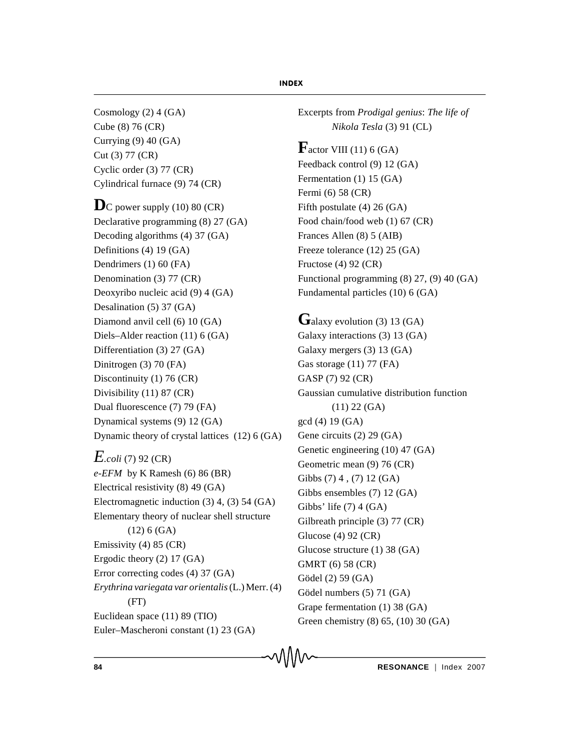Cosmology (2) 4 (GA) Cube (8) 76 (CR) Currying (9) 40 (GA) Cut (3) 77 (CR) Cyclic order (3) 77 (CR) Cylindrical furnace (9) 74 (CR)

 $\mathbf{D}$ C power supply (10) 80 (CR) Declarative programming (8) 27 (GA) Decoding algorithms (4) 37 (GA) Definitions (4) 19 (GA) Dendrimers (1) 60 (FA) Denomination (3) 77 (CR) Deoxyribo nucleic acid (9) 4 (GA) Desalination (5) 37 (GA) Diamond anvil cell (6) 10 (GA) Diels–Alder reaction (11) 6 (GA) Differentiation (3) 27 (GA) Dinitrogen (3) 70 (FA) Discontinuity (1) 76 (CR) Divisibility (11) 87 (CR) Dual fluorescence (7) 79 (FA) Dynamical systems (9) 12 (GA) Dynamic theory of crystal lattices (12) 6 (GA)

## *E.coli* (7) 92 (CR)

*e-EFM* by K Ramesh (6) 86 (BR) Electrical resistivity (8) 49 (GA) Electromagnetic induction (3) 4, (3) 54 (GA) Elementary theory of nuclear shell structure (12) 6 (GA) Emissivity (4) 85 (CR) Ergodic theory (2) 17 (GA) Error correcting codes (4) 37 (GA) *Erythrina variegata var orientalis*(L.) Merr. (4) (FT) Euclidean space (11) 89 (TIO) Euler–Mascheroni constant (1) 23 (GA)

Excerpts from *Prodigal genius*: *The life of Nikola Tesla* (3) 91 (CL)

 $\mathbf{F}$ actor VIII (11) 6 (GA) Feedback control (9) 12 (GA) Fermentation (1) 15 (GA) Fermi (6) 58 (CR) Fifth postulate (4) 26 (GA) Food chain/food web (1) 67 (CR) Frances Allen (8) 5 (AIB) Freeze tolerance (12) 25 (GA) Fructose (4) 92 (CR) Functional programming (8) 27, (9) 40 (GA) Fundamental particles (10) 6 (GA)

# Galaxy evolution (3) 13 (GA)

Galaxy interactions (3) 13 (GA) Galaxy mergers (3) 13 (GA) Gas storage (11) 77 (FA) GASP (7) 92 (CR) Gaussian cumulative distribution function (11) 22 (GA) gcd (4) 19 (GA) Gene circuits (2) 29 (GA) Genetic engineering (10) 47 (GA) Geometric mean (9) 76 (CR) Gibbs (7) 4 , (7) 12 (GA) Gibbs ensembles (7) 12 (GA) Gibbs' life (7) 4 (GA) Gilbreath principle (3) 77 (CR) Glucose (4) 92 (CR) Glucose structure (1) 38 (GA) GMRT (6) 58 (CR) Gödel (2) 59 (GA) Gödel numbers (5) 71 (GA) Grape fermentation (1) 38 (GA) Green chemistry (8) 65, (10) 30 (GA)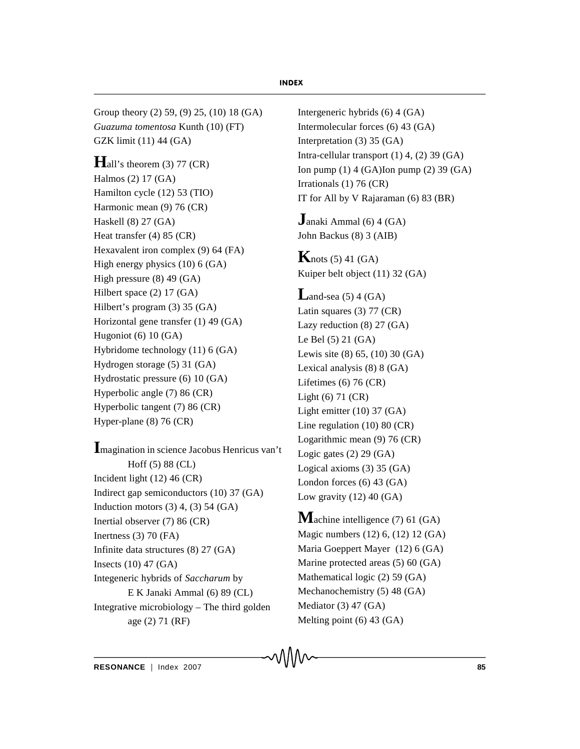Group theory (2) 59, (9) 25, (10) 18 (GA) *Guazuma tomentosa* Kunth (10) (FT) GZK limit (11) 44 (GA)

 $\mathbf{H}$ all's theorem (3) 77 (CR) Halmos (2) 17 (GA) Hamilton cycle (12) 53 (TIO) Harmonic mean (9) 76 (CR) Haskell (8) 27 (GA) Heat transfer (4) 85 (CR) Hexavalent iron complex (9) 64 (FA) High energy physics (10) 6 (GA) High pressure (8) 49 (GA) Hilbert space (2) 17 (GA) Hilbert's program (3) 35 (GA) Horizontal gene transfer (1) 49 (GA) Hugoniot (6) 10 (GA) Hybridome technology (11) 6 (GA) Hydrogen storage (5) 31 (GA) Hydrostatic pressure (6) 10 (GA) Hyperbolic angle (7) 86 (CR) Hyperbolic tangent (7) 86 (CR) Hyper-plane (8) 76 (CR)

**I**magination in science Jacobus Henricus van't Hoff (5) 88 (CL) Incident light (12) 46 (CR) Indirect gap semiconductors (10) 37 (GA) Induction motors  $(3)$  4,  $(3)$  54  $(GA)$ Inertial observer (7) 86 (CR) Inertness (3) 70 (FA) Infinite data structures (8) 27 (GA) Insects (10) 47 (GA) Integeneric hybrids of *Saccharum* by E K Janaki Ammal (6) 89 (CL) Integrative microbiology – The third golden age (2) 71 (RF)

Intergeneric hybrids (6) 4 (GA) Intermolecular forces (6) 43 (GA) Interpretation (3) 35 (GA) Intra-cellular transport (1) 4, (2) 39 (GA) Ion pump (1) 4 (GA)Ion pump (2) 39 (GA) Irrationals (1) 76 (CR) IT for All by V Rajaraman (6) 83 (BR)

**J**anaki Ammal (6) 4 (GA) John Backus (8) 3 (AIB)

**K**nots  $(5)$  41  $(GA)$ Kuiper belt object (11) 32 (GA)

**L**and-sea  $(5)$  4  $(GA)$ Latin squares (3) 77 (CR) Lazy reduction (8) 27 (GA) Le Bel (5) 21 (GA) Lewis site (8) 65, (10) 30 (GA) Lexical analysis (8) 8 (GA) Lifetimes (6) 76 (CR) Light (6) 71 (CR) Light emitter (10) 37 (GA) Line regulation (10) 80 (CR) Logarithmic mean (9) 76 (CR) Logic gates  $(2)$  29  $(GA)$ Logical axioms (3) 35 (GA) London forces (6) 43 (GA) Low gravity  $(12)$  40  $(GA)$ 

**M**achine intelligence (7) 61 (GA) Magic numbers (12) 6, (12) 12 (GA) Maria Goeppert Mayer (12) 6 (GA) Marine protected areas (5) 60 (GA) Mathematical logic (2) 59 (GA) Mechanochemistry (5) 48 (GA) Mediator (3) 47 (GA) Melting point (6) 43 (GA)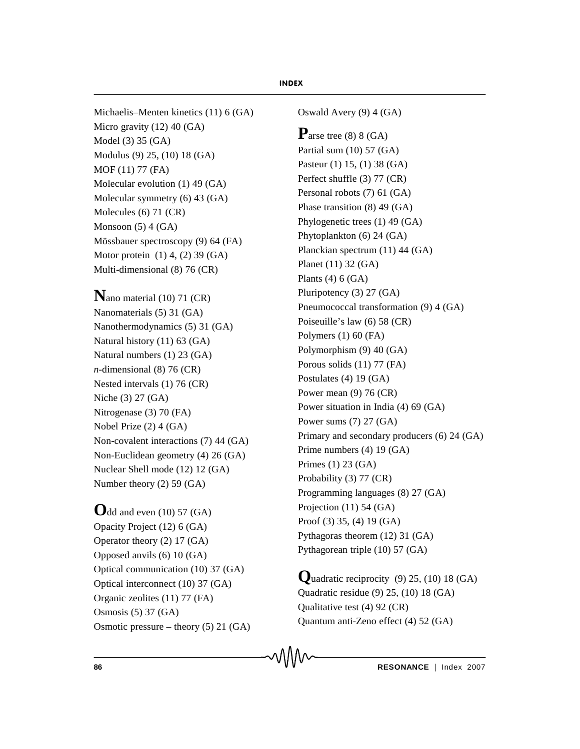Michaelis–Menten kinetics (11) 6 (GA) Micro gravity (12) 40 (GA) Model (3) 35 (GA) Modulus (9) 25, (10) 18 (GA) MOF (11) 77 (FA) Molecular evolution (1) 49 (GA) Molecular symmetry (6) 43 (GA) Molecules (6) 71 (CR) Monsoon  $(5)$  4  $(GA)$ Mössbauer spectroscopy (9) 64 (FA) Motor protein (1) 4, (2) 39 (GA) Multi-dimensional (8) 76 (CR)

**N**ano material (10) 71 (CR) Nanomaterials (5) 31 (GA) Nanothermodynamics (5) 31 (GA) Natural history (11) 63 (GA) Natural numbers (1) 23 (GA) *n*-dimensional (8) 76 (CR) Nested intervals (1) 76 (CR) Niche (3) 27 (GA) Nitrogenase (3) 70 (FA) Nobel Prize (2) 4 (GA) Non-covalent interactions (7) 44 (GA) Non-Euclidean geometry (4) 26 (GA) Nuclear Shell mode (12) 12 (GA) Number theory (2) 59 (GA)

**O**dd and even (10) 57 (GA) Opacity Project (12) 6 (GA) Operator theory (2) 17 (GA) Opposed anvils (6) 10 (GA) Optical communication (10) 37 (GA) Optical interconnect (10) 37 (GA) Organic zeolites (11) 77 (FA) Osmosis (5) 37 (GA) Osmotic pressure – theory (5) 21 (GA) Oswald Avery (9) 4 (GA)

**P**arse tree (8) 8 (GA) Partial sum (10) 57 (GA) Pasteur (1) 15, (1) 38 (GA) Perfect shuffle (3) 77 (CR) Personal robots (7) 61 (GA) Phase transition (8) 49 (GA) Phylogenetic trees (1) 49 (GA) Phytoplankton (6) 24 (GA) Planckian spectrum (11) 44 (GA) Planet (11) 32 (GA) Plants  $(4)$  6  $(GA)$ Pluripotency (3) 27 (GA) Pneumococcal transformation (9) 4 (GA) Poiseuille's law (6) 58 (CR) Polymers (1) 60 (FA) Polymorphism (9) 40 (GA) Porous solids (11) 77 (FA) Postulates (4) 19 (GA) Power mean (9) 76 (CR) Power situation in India (4) 69 (GA) Power sums (7) 27 (GA) Primary and secondary producers (6) 24 (GA) Prime numbers (4) 19 (GA) Primes (1) 23 (GA) Probability (3) 77 (CR) Programming languages (8) 27 (GA) Projection (11) 54 (GA) Proof (3) 35, (4) 19 (GA) Pythagoras theorem (12) 31 (GA) Pythagorean triple (10) 57 (GA)

Quadratic reciprocity  $(9)$  25,  $(10)$  18  $(GA)$ Quadratic residue (9) 25, (10) 18 (GA) Qualitative test (4) 92 (CR) Quantum anti-Zeno effect (4) 52 (GA)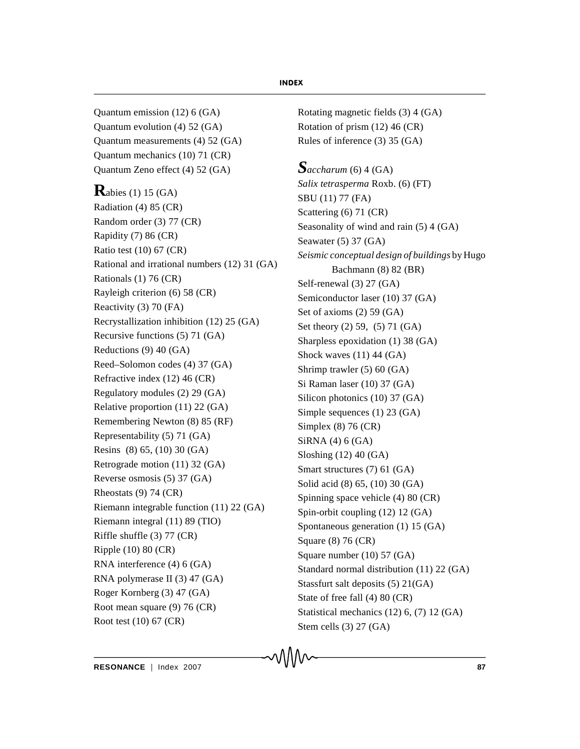Quantum emission (12) 6 (GA) Quantum evolution (4) 52 (GA) Quantum measurements (4) 52 (GA) Quantum mechanics (10) 71 (CR) Quantum Zeno effect (4) 52 (GA)

**R**abies (1) 15 (GA) Radiation (4) 85 (CR) Random order (3) 77 (CR) Rapidity (7) 86 (CR) Ratio test (10) 67 (CR) Rational and irrational numbers (12) 31 (GA) Rationals (1) 76 (CR) Rayleigh criterion (6) 58 (CR) Reactivity (3) 70 (FA) Recrystallization inhibition (12) 25 (GA) Recursive functions (5) 71 (GA) Reductions (9) 40 (GA) Reed–Solomon codes (4) 37 (GA) Refractive index (12) 46 (CR) Regulatory modules (2) 29 (GA) Relative proportion (11) 22 (GA) Remembering Newton (8) 85 (RF) Representability (5) 71 (GA) Resins (8) 65, (10) 30 (GA) Retrograde motion (11) 32 (GA) Reverse osmosis (5) 37 (GA) Rheostats (9) 74 (CR) Riemann integrable function (11) 22 (GA) Riemann integral (11) 89 (TIO) Riffle shuffle (3) 77 (CR) Ripple (10) 80 (CR) RNA interference (4) 6 (GA) RNA polymerase II (3) 47 (GA) Roger Kornberg (3) 47 (GA) Root mean square (9) 76 (CR) Root test (10) 67 (CR)

Rotating magnetic fields (3) 4 (GA) Rotation of prism (12) 46 (CR) Rules of inference (3) 35 (GA)

*Saccharum* (6) 4 (GA) *Salix tetrasperma* Roxb. (6) (FT) SBU (11) 77 (FA) Scattering (6) 71 (CR) Seasonality of wind and rain (5) 4 (GA) Seawater (5) 37 (GA) *Seismic conceptual design of buildings* by Hugo Bachmann (8) 82 (BR) Self-renewal (3) 27 (GA) Semiconductor laser (10) 37 (GA) Set of axioms (2) 59 (GA) Set theory (2) 59, (5) 71 (GA) Sharpless epoxidation (1) 38 (GA) Shock waves (11) 44 (GA) Shrimp trawler (5) 60 (GA) Si Raman laser (10) 37 (GA) Silicon photonics (10) 37 (GA) Simple sequences (1) 23 (GA) Simplex (8) 76 (CR) SiRNA (4) 6 (GA) Sloshing (12) 40 (GA) Smart structures (7) 61 (GA) Solid acid (8) 65, (10) 30 (GA) Spinning space vehicle (4) 80 (CR) Spin-orbit coupling (12) 12 (GA) Spontaneous generation (1) 15 (GA) Square (8) 76 (CR) Square number (10) 57 (GA) Standard normal distribution (11) 22 (GA) Stassfurt salt deposits (5) 21(GA) State of free fall (4) 80 (CR) Statistical mechanics (12) 6, (7) 12 (GA) Stem cells (3) 27 (GA)